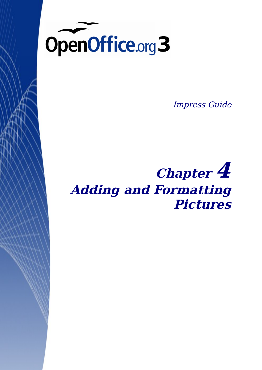

Impress Guide

# **Chapter 4 Adding and Formatting Pictures**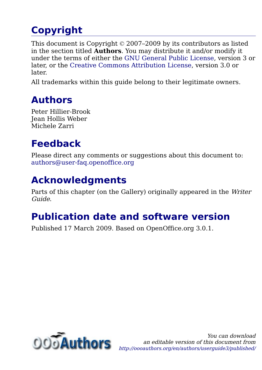## <span id="page-1-0"></span>**Copyright**

This document is Copyright © 2007–2009 by its contributors as listed in the section titled **Authors**. You may distribute it and/or modify it under the terms of either the [GNU General Public License,](http://www.gnu.org/licenses/gpl.html) version 3 or later, or the [Creative Commons Attribution License,](http://creativecommons.org/licenses/by/3.0/) version 3.0 or later.

All trademarks within this guide belong to their legitimate owners.

### **Authors**

Peter Hillier-Brook Jean Hollis Weber Michele Zarri

## **Feedback**

Please direct any comments or suggestions about this document to: [authors@user-faq.openoffice.org](mailto:authors@user-faq.openoffice.org)

## **Acknowledgments**

Parts of this chapter (on the Gallery) originally appeared in the Writer Guide.

## **Publication date and software version**

Published 17 March 2009. Based on OpenOffice.org 3.0.1.

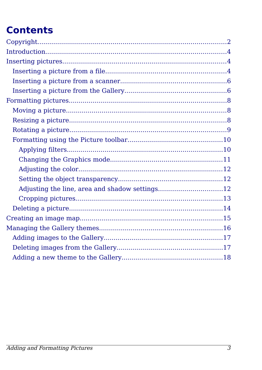## **Contents**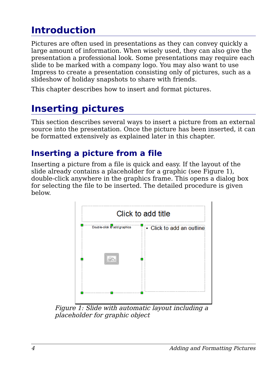## <span id="page-3-2"></span>**Introduction**

Pictures are often used in presentations as they can convey quickly a large amount of information. When wisely used, they can also give the presentation a professional look. Some presentations may require each slide to be marked with a company logo. You may also want to use Impress to create a presentation consisting only of pictures, such as a slideshow of holiday snapshots to share with friends.

This chapter describes how to insert and format pictures.

## <span id="page-3-1"></span>**Inserting pictures**

This section describes several ways to insert a picture from an external source into the presentation. Once the picture has been inserted, it can be formatted extensively as explained later in this chapter.

### <span id="page-3-0"></span>**Inserting a picture from a file**

Inserting a picture from a file is quick and easy. If the layout of the slide already contains a placeholder for a graphic (see [Figure 1\)](#page-3-3), double-click anywhere in the graphics frame. This opens a dialog box for selecting the file to be inserted. The detailed procedure is given below.



<span id="page-3-3"></span>Figure 1: Slide with automatic layout including a placeholder for graphic object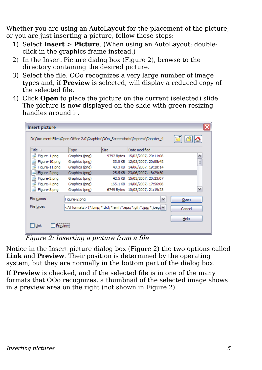Whether you are using an AutoLayout for the placement of the picture, or you are just inserting a picture, follow these steps:

- 1) Select **Insert** > **Picture**. (When using an AutoLayout; doubleclick in the graphics frame instead.)
- 2) In the Insert Picture dialog box [\(Figure 2\)](#page-4-0), browse to the directory containing the desired picture.
- 3) Select the file. OOo recognizes a very large number of image types and, if **Preview** is selected, will display a reduced copy of the selected file.
- 4) Click **Open** to place the picture on the current (selected) slide. The picture is now displayed on the slide with green resizing handles around it.

| <b>Insert picture</b> |                |             |                                                                              | x        |
|-----------------------|----------------|-------------|------------------------------------------------------------------------------|----------|
|                       |                |             | D:\Document Files\Open Office 2.0\Graphics\OOo_Screenshots\Impress\Chapter_4 |          |
| Title $\triangle$     | <b>Type</b>    | <b>Size</b> | Date modified                                                                |          |
| Figure-1.png          | Graphics (png) |             | 9792 Bytes 15/03/2007, 20:11:06                                              | ۸        |
| Figure-10.png         | Graphics (png) | 33.0 KB     | 12/03/2007, 20:05:42                                                         | $\equiv$ |
| Figure-11.png         | Graphics (png) | 48.3 KB     | 14/06/2007, 19:28:14                                                         |          |
| Figure-2.png          | Graphics (png) | 25.5 KB     | 23/06/2007, 18:29:50                                                         |          |
| Figure-3.png          | Graphics (png) | 42.5 KB     | 15/03/2007, 20:23:07                                                         |          |
| Figure-4.png          | Graphics (png) | 165.1KB     | 14/06/2007, 17:56:08                                                         |          |
| Figure-5.png          | Graphics (png) | 6749 Bytes  | 10/03/2007, 21:19:23                                                         | v        |
| File name:            | Figure-2.png   |             | v                                                                            | Open     |
| File type:            |                |             | <all formats=""> (*.bmp;*.dxf;*.emf;*.eps;*.gif;*.jpg;*.jpeg;  &lt;</all>    | Cancel   |
| Link<br>Preview       |                |             |                                                                              | Help     |

<span id="page-4-0"></span>Figure 2: Inserting a picture from a file

Notice in the Insert picture dialog box [\(Figure 2\)](#page-4-0) the two options called **Link** and **Preview**. Their position is determined by the operating system, but they are normally in the bottom part of the dialog box.

If **Preview** is checked, and if the selected file is in one of the many formats that OOo recognizes, a thumbnail of the selected image shows in a preview area on the right (not shown in [Figure 2\)](#page-4-0).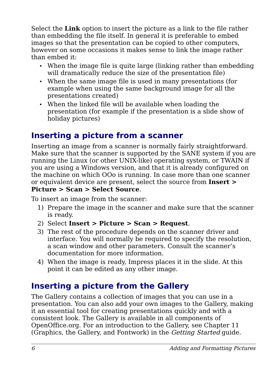Select the **Link** option to insert the picture as a link to the file rather than embedding the file itself. In general it is preferable to embed images so that the presentation can be copied to other computers, however on some occasions it makes sense to link the image rather than embed it:

- When the image file is quite large (linking rather than embedding will dramatically reduce the size of the presentation file)
- When the same image file is used in many presentations (for example when using the same background image for all the presentations created)
- When the linked file will be available when loading the presentation (for example if the presentation is a slide show of holiday pictures)

### <span id="page-5-1"></span>**Inserting a picture from a scanner**

Inserting an image from a scanner is normally fairly straightforward. Make sure that the scanner is supported by the SANE system if you are running the Linux (or other UNIX-like) operating system, or TWAIN if you are using a Windows version, and that it is already configured on the machine on which OOo is running. In case more than one scanner or equivalent device are present, select the source from **Insert > Picture > Scan > Select Source**.

To insert an image from the scanner:

- 1) Prepare the image in the scanner and make sure that the scanner is ready.
- 2) Select **Insert > Picture > Scan > Request**.
- 3) The rest of the procedure depends on the scanner driver and interface. You will normally be required to specify the resolution, a scan window and other parameters. Consult the scanner's documentation for more information.
- 4) When the image is ready, Impress places it in the slide. At this point it can be edited as any other image.

### <span id="page-5-0"></span>**Inserting a picture from the Gallery**

The Gallery contains a collection of images that you can use in a presentation. You can also add your own images to the Gallery, making it an essential tool for creating presentations quickly and with a consistent look. The Gallery is available in all components of OpenOffice.org. For an introduction to the Gallery, see Chapter 11 (Graphics, the Gallery, and Fontwork) in the Getting Started guide.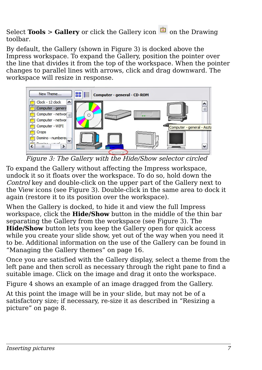Select **Tools** > Gallery or click the Gallery icon **only be aller** on the Drawing toolbar.

By default, the Gallery (shown in [Figure 3\)](#page-6-0) is docked above the Impress workspace. To expand the Gallery, position the pointer over the line that divides it from the top of the workspace. When the pointer changes to parallel lines with arrows, click and drag downward. The workspace will resize in response.



Figure 3: The Gallery with the Hide/Show selector circled

<span id="page-6-0"></span>To expand the Gallery without affecting the Impress workspace, undock it so it floats over the workspace. To do so, hold down the Control key and double-click on the upper part of the Gallery next to the View icons (see [Figure 3\)](#page-6-0). Double-click in the same area to dock it again (restore it to its position over the workspace).

When the Gallery is docked, to hide it and view the full Impress workspace, click the **Hide/Show** button in the middle of the thin bar separating the Gallery from the workspace (see [Figure 3\)](#page-6-0). The **Hide/Show** button lets you keep the Gallery open for quick access while you create your slide show, yet out of the way when you need it to be. Additional information on the use of the Gallery can be found in ["Managing the Gallery themes"](#page-15-0) on page [16.](#page-15-0)

Once you are satisfied with the Gallery display, select a theme from the left pane and then scroll as necessary through the right pane to find a suitable image. Click on the image and drag it onto the workspace.

[Figure 4](#page-7-3) shows an example of an image dragged from the Gallery.

At this point the image will be in your slide, but may not be of a satisfactory size; if necessary, re-size it as described in ["Resizing a](#page-7-0) [picture"](#page-7-0) on page [8.](#page-7-0)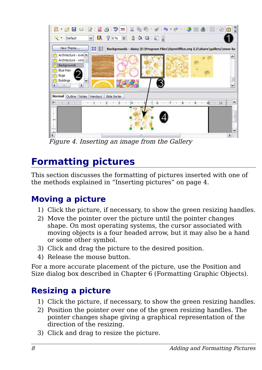

<span id="page-7-3"></span>Figure 4. Inserting an image from the Gallery

## <span id="page-7-2"></span>**Formatting pictures**

This section discusses the formatting of pictures inserted with one of the methods explained in ["Inserting pictures"](#page-3-1) on page [4.](#page-3-1)

### <span id="page-7-1"></span>**Moving a picture**

- 1) Click the picture, if necessary, to show the green resizing handles.
- 2) Move the pointer over the picture until the pointer changes shape. On most operating systems, the cursor associated with moving objects is a four headed arrow, but it may also be a hand or some other symbol.
- 3) Click and drag the picture to the desired position.
- 4) Release the mouse button.

For a more accurate placement of the picture, use the Position and Size dialog box described in Chapter 6 (Formatting Graphic Objects).

### <span id="page-7-0"></span>**Resizing a picture**

- 1) Click the picture, if necessary, to show the green resizing handles.
- 2) Position the pointer over one of the green resizing handles. The pointer changes shape giving a graphical representation of the direction of the resizing.
- 3) Click and drag to resize the picture.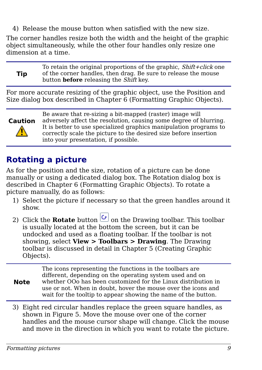4) Release the mouse button when satisfied with the new size.

The corner handles resize both the width and the height of the graphic object simultaneously, while the other four handles only resize one dimension at a time.

**Tip** To retain the original proportions of the graphic,  $Shift+click$  one of the corner handles, then drag. Be sure to release the mouse button **before** releasing the Shift key.

For more accurate resizing of the graphic object, use the Position and Size dialog box described in Chapter 6 (Formatting Graphic Objects).



Be aware that re-sizing a bit-mapped (raster) image will adversely affect the resolution, causing some degree of blurring. It is better to use specialized graphics manipulation programs to correctly scale the picture to the desired size before insertion into your presentation, if possible.

### <span id="page-8-0"></span>**Rotating a picture**

As for the position and the size, rotation of a picture can be done manually or using a dedicated dialog box. The Rotation dialog box is described in Chapter 6 (Formatting Graphic Objects). To rotate a picture manually, do as follows:

- 1) Select the picture if necessary so that the green handles around it show.
- 2) Click the **Rotate** button  $\begin{bmatrix} 1 \end{bmatrix}$  on the Drawing toolbar. This toolbar is usually located at the bottom the screen, but it can be undocked and used as a floating toolbar. If the toolbar is not showing, select **View > Toolbars > Drawing**. The Drawing toolbar is discussed in detail in Chapter 5 (Creating Graphic Objects).

**Note** The icons representing the functions in the toolbars are different, depending on the operating system used and on whether OOo has been customized for the Linux distribution in use or not. When in doubt, hover the mouse over the icons and wait for the tooltip to appear showing the name of the button.

3) Eight red circular handles replace the green square handles, as shown in [Figure 5.](#page-9-2) Move the mouse over one of the corner handles and the mouse cursor shape will change. Click the mouse and move in the direction in which you want to rotate the picture.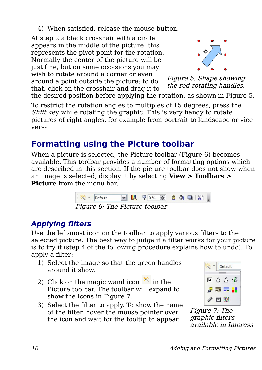4) When satisfied, release the mouse button.

At step 2 a black crosshair with a circle appears in the middle of the picture: this represents the pivot point for the rotation. Normally the center of the picture will be just fine, but on some occasions you may wish to rotate around a corner or even around a point outside the picture; to do that, click on the crosshair and drag it to



<span id="page-9-2"></span>Figure 5: Shape showing the red rotating handles.

the desired position before applying the rotation, as shown in [Figure 5.](#page-9-2)

To restrict the rotation angles to multiples of 15 degrees, press the Shift key while rotating the graphic. This is very handy to rotate pictures of right angles, for example from portrait to landscape or vice versa.

### <span id="page-9-1"></span>**Formatting using the Picture toolbar**

When a picture is selected, the Picture toolbar [\(Figure 6\)](#page-9-4) becomes available. This toolbar provides a number of formatting options which are described in this section. If the picture toolbar does not show when an image is selected, display it by selecting **View > Toolbars > Picture** from the menu bar.

<span id="page-9-4"></span>

#### <span id="page-9-0"></span>**Applying filters**

Use the left-most icon on the toolbar to apply various filters to the selected picture. The best way to judge if a filter works for your picture is to try it (step 4 of the following procedure explains how to undo). To apply a filter:

- 1) Select the image so that the green handles around it show.
- 2) Click on the magic wand icon  $\mathbb{R}$  in the Picture toolbar. The toolbar will expand to show the icons in [Figure 7.](#page-9-3)
- 3) Select the filter to apply. To show the name of the filter, hover the mouse pointer over the icon and wait for the tooltip to appear.



<span id="page-9-3"></span>Figure 7: The graphic filters available in Impress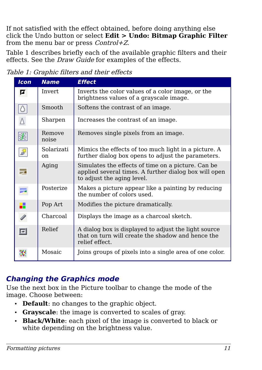If not satisfied with the effect obtained, before doing anything else click the Undo button or select **Edit > Undo: Bitmap Graphic Filter** from the menu bar or press  $Control+Z$ .

[Table 1](#page-10-1) describes briefly each of the available graphic filters and their effects. See the *Draw Guide* for examples of the effects.

#### Table 1: Graphic filters and their effects

<span id="page-10-1"></span>

| <b>Icon</b>                                                 | <b>Name</b>                 | <b>Effect</b>                                                                                                                             |
|-------------------------------------------------------------|-----------------------------|-------------------------------------------------------------------------------------------------------------------------------------------|
| Ø                                                           | Invert                      | Inverts the color values of a color image, or the<br>brightness values of a grayscale image.                                              |
| Ô                                                           | Smooth                      | Softens the contrast of an image.                                                                                                         |
| Δ                                                           | Sharpen                     | Increases the contrast of an image.                                                                                                       |
| $\begin{array}{c} \begin{array}{c} \end{array} \end{array}$ | Remove<br>noise             | Removes single pixels from an image.                                                                                                      |
| $\mathbf{Q}_{\mathbf{R}^k}$                                 | Solarizati<br><sub>on</sub> | Mimics the effects of too much light in a picture. A<br>further dialog box opens to adjust the parameters.                                |
| z                                                           | Aging                       | Simulates the effects of time on a picture. Can be<br>applied several times. A further dialog box will open<br>to adjust the aging level. |
|                                                             | Posterize                   | Makes a picture appear like a painting by reducing<br>the number of colors used.                                                          |
| ×                                                           | Pop Art                     | Modifies the picture dramatically.                                                                                                        |
|                                                             | Charcoal                    | Displays the image as a charcoal sketch.                                                                                                  |
| 回                                                           | Relief                      | A dialog box is displayed to adjust the light source<br>that on turn will create the shadow and hence the<br>relief effect.               |
|                                                             | Mosaic                      | Joins groups of pixels into a single area of one color.                                                                                   |

#### <span id="page-10-0"></span>**Changing the Graphics mode**

Use the next box in the Picture toolbar to change the mode of the image. Choose between:

- **Default**: no changes to the graphic object.
- **Grayscale**: the image is converted to scales of gray.
- **Black/White**: each pixel of the image is converted to black or white depending on the brightness value.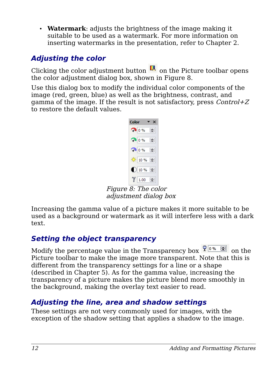• **Watermark**: adjusts the brightness of the image making it suitable to be used as a watermark. For more information on inserting watermarks in the presentation, refer to Chapter 2.

#### <span id="page-11-2"></span>**Adjusting the color**

Clicking the color adjustment button  $\Box$  on the Picture toolbar opens the color adjustment dialog box, shown in [Figure 8.](#page-11-3)

Use this dialog box to modify the individual color components of the image (red, green, blue) as well as the brightness, contrast, and gamma of the image. If the result is not satisfactory, press  $Control+Z$ to restore the default values.

<span id="page-11-3"></span>

Figure 8: The color adjustment dialog box

Increasing the gamma value of a picture makes it more suitable to be used as a background or watermark as it will interfere less with a dark text.

#### <span id="page-11-1"></span>**Setting the object transparency**

Modify the percentage value in the Transparency box  $\sqrt{\frac{1}{2} \cdot \frac{1}{2}}$  on the Picture toolbar to make the image more transparent. Note that this is different from the transparency settings for a line or a shape (described in Chapter 5). As for the gamma value, increasing the transparency of a picture makes the picture blend more smoothly in the background, making the overlay text easier to read.

#### <span id="page-11-0"></span>**Adjusting the line, area and shadow settings**

These settings are not very commonly used for images, with the exception of the shadow setting that applies a shadow to the image.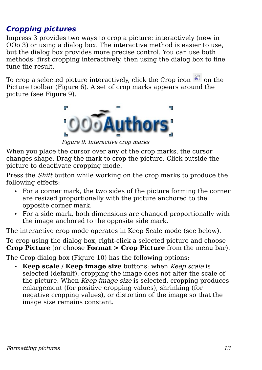#### <span id="page-12-0"></span>**Cropping pictures**

Impress 3 provides two ways to crop a picture: interactively (new in OOo 3) or using a dialog box. The interactive method is easier to use, but the dialog box provides more precise control. You can use both methods: first cropping interactively, then using the dialog box to fine tune the result.

To crop a selected picture interactively, click the Crop icon  $\mathbb{Z}$  on the Picture toolbar [\(Figure 6\)](#page-9-4). A set of crop marks appears around the picture (see [Figure 9\)](#page-12-1).

<span id="page-12-1"></span>

Figure 9: Interactive crop marks

When you place the cursor over any of the crop marks, the cursor changes shape. Drag the mark to crop the picture. Click outside the picture to deactivate cropping mode.

Press the *Shift* button while working on the crop marks to produce the following effects:

- For a corner mark, the two sides of the picture forming the corner are resized proportionally with the picture anchored to the opposite corner mark.
- For a side mark, both dimensions are changed proportionally with the image anchored to the opposite side mark.

The interactive crop mode operates in Keep Scale mode (see below).

To crop using the dialog box, right-click a selected picture and choose **Crop Picture** (or choose **Format > Crop Picture** from the menu bar).

The Crop dialog box [\(Figure 10\)](#page-13-1) has the following options:

• **Keep scale** / **Keep image size** buttons: when Keep scale is selected (default), cropping the image does not alter the scale of the picture. When *Keep image size* is selected, cropping produces enlargement (for positive cropping values), shrinking (for negative cropping values), or distortion of the image so that the image size remains constant.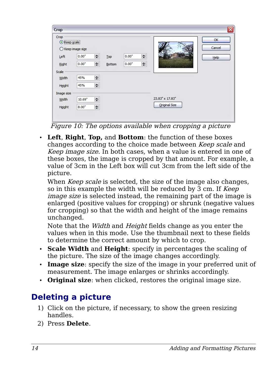| Crop<br>Keep scale<br>$\odot$ | $\bigcirc$ Keep image size |        |       |   |                 | ОК<br>Cancel |
|-------------------------------|----------------------------|--------|-------|---|-----------------|--------------|
| Left                          | 8<br>0.00"                 | Iop    | 0.00" | 8 |                 | Help         |
| Right                         | 등<br>0.00"                 | Bottom | 0.00" | ۵ |                 |              |
| Scale                         |                            |        |       |   |                 |              |
| Width                         | 8<br>45%                   |        |       |   |                 |              |
| Height                        | 8<br>45%                   |        |       |   |                 |              |
| Image size                    |                            |        |       |   |                 |              |
| Width                         | 몸<br>10.69"                |        |       |   | 23.83" x 17.83" |              |
| Height                        | 8<br>$8.00*$               |        |       |   | Original Size   |              |

<span id="page-13-1"></span>Figure 10: The options available when cropping a picture

• **Left**, **Right**, **Top,** and **Bottom**: the function of these boxes changes according to the choice made between Keep scale and Keep image size. In both cases, when a value is entered in one of these boxes, the image is cropped by that amount. For example, a value of 3cm in the Left box will cut 3cm from the left side of the picture.

When *Keep scale* is selected, the size of the image also changes, so in this example the width will be reduced by 3 cm. If Keep image size is selected instead, the remaining part of the image is enlarged (positive values for cropping) or shrunk (negative values for cropping) so that the width and height of the image remains unchanged.

Note that the Width and Height fields change as you enter the values when in this mode. Use the thumbnail next to these fields to determine the correct amount by which to crop.

- **Scale Width** and **Height**: specify in percentages the scaling of the picture. The size of the image changes accordingly.
- **Image size**: specify the size of the image in your preferred unit of measurement. The image enlarges or shrinks accordingly.
- **Original size**: when clicked, restores the original image size.

### <span id="page-13-0"></span>**Deleting a picture**

- 1) Click on the picture, if necessary, to show the green resizing handles.
- 2) Press **Delete**.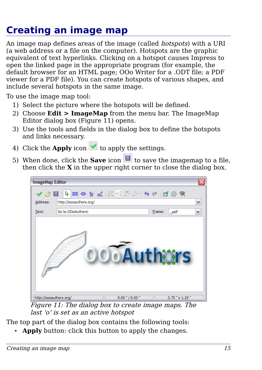## <span id="page-14-0"></span>**Creating an image map**

An image map defines areas of the image (called *hotspots*) with a URI (a web address or a file on the computer). Hotspots are the graphic equivalent of text hyperlinks. Clicking on a hotspot causes Impress to open the linked page in the appropriate program (for example, the default browser for an HTML page; OOo Writer for a .ODT file; a PDF viewer for a PDF file). You can create hotspots of various shapes, and include several hotspots in the same image.

To use the image map tool:

- 1) Select the picture where the hotspots will be defined.
- 2) Choose **Edit > ImageMap** from the menu bar. The ImageMap Editor dialog box [\(Figure 11\)](#page-14-1) opens.
- 3) Use the tools and fields in the dialog box to define the hotspots and links necessary.
- 4) Click the **Apply** icon  $\bullet$  to apply the settings.
- 5) When done, click the **Save** icon  $\Box$  to save the imagemap to a file, then click the **X** in the upper right corner to close the dialog box.



<span id="page-14-1"></span>Figure 11: The dialog box to create image maps. The last 'o' is set as an active hotspot

The top part of the dialog box contains the following tools:

• **Apply** button: click this button to apply the changes.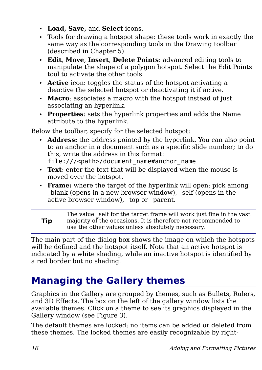- **Load, Save,** and **Select** icons.
- Tools for drawing a hotspot shape: these tools work in exactly the same way as the corresponding tools in the Drawing toolbar (described in Chapter 5).
- **Edit**, **Move**, **Insert**, **Delete Points**: advanced editing tools to manipulate the shape of a polygon hotspot. Select the Edit Points tool to activate the other tools.
- **Active** icon: toggles the status of the hotspot activating a deactive the selected hotspot or deactivating it if active.
- **Macro**: associates a macro with the hotspot instead of just associating an hyperlink.
- **Properties**: sets the hyperlink properties and adds the Name attribute to the hyperlink.

Below the toolbar, specify for the selected hotspot:

- **Address:** the address pointed by the hyperlink. You can also point to an anchor in a document such as a specific slide number; to do this, write the address in this format: file:///<path>/document name#anchor name
- **Text**: enter the text that will be displayed when the mouse is moved over the hotspot.
- **Frame:** where the target of the hyperlink will open: pick among blank (opens in a new browser window), self (opens in the active browser window), top or parent.

**Tip** The value self for the target frame will work just fine in the vast majority of the occasions. It is therefore not recommended to use the other values unless absolutely necessary.

The main part of the dialog box shows the image on which the hotspots will be defined and the hotspot itself. Note that an active hotspot is indicated by a white shading, while an inactive hotspot is identified by a red border but no shading.

## <span id="page-15-0"></span>**Managing the Gallery themes**

Graphics in the Gallery are grouped by themes, such as Bullets, Rulers, and 3D Effects. The box on the left of the gallery window lists the available themes. Click on a theme to see its graphics displayed in the Gallery window (see [Figure 3\)](#page-6-0).

The default themes are locked; no items can be added or deleted from these themes. The locked themes are easily recognizable by right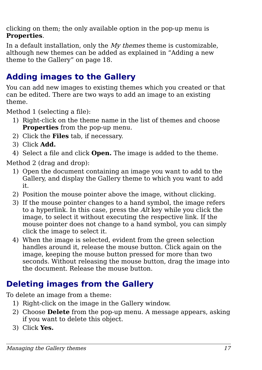clicking on them; the only available option in the pop-up menu is **Properties**.

In a default installation, only the  $My$  themes theme is customizable, although new themes can be added as explained in ["Adding a new](#page-17-0) [theme to the Gallery"](#page-17-0) on page [18.](#page-17-0)

### <span id="page-16-1"></span>**Adding images to the Gallery**

You can add new images to existing themes which you created or that can be edited. There are two ways to add an image to an existing theme.

Method 1 (selecting a file):

- 1) Right-click on the theme name in the list of themes and choose **Properties** from the pop-up menu.
- 2) Click the **Files** tab, if necessary.
- 3) Click **Add.**
- 4) Select a file and click **Open.** The image is added to the theme.

Method 2 (drag and drop):

- 1) Open the document containing an image you want to add to the Gallery, and display the Gallery theme to which you want to add it.
- 2) Position the mouse pointer above the image, without clicking.
- 3) If the mouse pointer changes to a hand symbol, the image refers to a hyperlink. In this case, press the Alt key while you click the image, to select it without executing the respective link. If the mouse pointer does not change to a hand symbol, you can simply click the image to select it.
- 4) When the image is selected, evident from the green selection handles around it, release the mouse button. Click again on the image, keeping the mouse button pressed for more than two seconds. Without releasing the mouse button, drag the image into the document. Release the mouse button.

### <span id="page-16-0"></span>**Deleting images from the Gallery**

To delete an image from a theme:

- 1) Right-click on the image in the Gallery window.
- 2) Choose **Delete** from the pop-up menu. A message appears, asking if you want to delete this object.
- 3) Click **Yes.**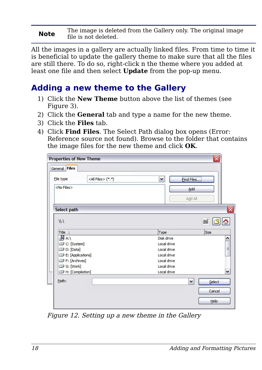#### **Note** The image is deleted from the Gallery only. The original image file is not deleted.

All the images in a gallery are actually linked files. From time to time it is beneficial to update the gallery theme to make sure that all the files are still there. To do so, right-click n the theme where you added at least one file and then select **Update** from the pop-up menu.

#### <span id="page-17-0"></span>**Adding a new theme to the Gallery**

- 1) Click the **New Theme** button above the list of themes (see Figure [3\)](#page-6-0).
- 2) Click the **General** tab and type a name for the new theme.
- 3) Click the **Files** tab.
- 4) Click **Find Files**. The Select Path dialog box opens [\(Error:](#page-17-1) [Reference source not found\)](#page-17-1). Browse to the folder that contains the image files for the new theme and click **OK**.

<span id="page-17-1"></span>

| Find Files<br>File type<br>$<$ No Files $>$<br>Add<br>Add All<br>Select path<br>111<br>Title $\triangle$<br>Type<br>Size<br>4B A:\<br>Disk drive<br>Local drive<br>C: [System]<br>D: [Data]<br>Local drive<br>Local drive<br>E: [Applications]<br>F: [Archives]<br>Local drive<br>G: [Work]<br>Local drive<br>H: [Compilation]<br>Local drive<br>Path:<br>Select<br>v<br>Cancel | General Files |                            |              |  |                           |
|---------------------------------------------------------------------------------------------------------------------------------------------------------------------------------------------------------------------------------------------------------------------------------------------------------------------------------------------------------------------------------|---------------|----------------------------|--------------|--|---------------------------|
|                                                                                                                                                                                                                                                                                                                                                                                 |               | <all files=""> (*.*)</all> | $\checkmark$ |  |                           |
|                                                                                                                                                                                                                                                                                                                                                                                 |               |                            |              |  |                           |
|                                                                                                                                                                                                                                                                                                                                                                                 |               |                            |              |  |                           |
|                                                                                                                                                                                                                                                                                                                                                                                 |               |                            |              |  | $ \overline{\mathsf{x}} $ |
|                                                                                                                                                                                                                                                                                                                                                                                 |               |                            |              |  |                           |
|                                                                                                                                                                                                                                                                                                                                                                                 |               |                            |              |  |                           |
|                                                                                                                                                                                                                                                                                                                                                                                 |               |                            |              |  | ۸                         |
|                                                                                                                                                                                                                                                                                                                                                                                 |               |                            |              |  |                           |
|                                                                                                                                                                                                                                                                                                                                                                                 |               |                            |              |  | $\equiv$                  |
|                                                                                                                                                                                                                                                                                                                                                                                 |               |                            |              |  |                           |
|                                                                                                                                                                                                                                                                                                                                                                                 |               |                            |              |  |                           |
|                                                                                                                                                                                                                                                                                                                                                                                 |               |                            |              |  |                           |
|                                                                                                                                                                                                                                                                                                                                                                                 |               |                            |              |  | v                         |
|                                                                                                                                                                                                                                                                                                                                                                                 |               |                            |              |  |                           |
|                                                                                                                                                                                                                                                                                                                                                                                 |               |                            |              |  |                           |
|                                                                                                                                                                                                                                                                                                                                                                                 |               |                            |              |  |                           |

Figure 12. Setting up a new theme in the Gallery